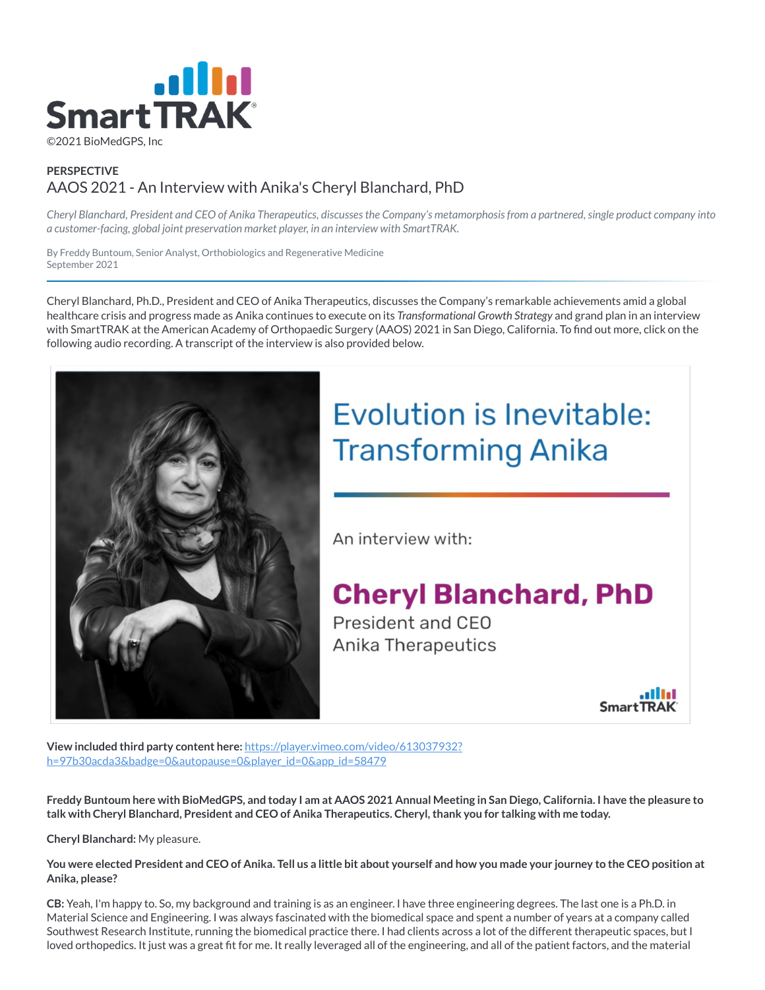

# **PERSPECTIVE** AAOS 2021 - An Interview with Anika's Cheryl Blanchard, PhD

*Cheryl Blanchard, President and CEO of Anika Therapeutics, discusses the Company's metamorphosis from a partnered, single product company into a customer-facing, global joint preservation market player, in an interview with SmartTRAK.*

By Freddy Buntoum, Senior Analyst, Orthobiologics and Regenerative Medicine September 2021

Cheryl Blanchard, Ph.D., President and CEO of Anika Therapeutics, discusses the Company's remarkable achievements amid a global healthcare crisis and progress made as Anika continues to execute on its *Transformational Growth Strategy* and grand plan in an interview with SmartTRAK at the American Academy of Orthopaedic Surgery (AAOS) 2021 in San Diego, California. To find out more, click on the following audio recording. A transcript of the interview is also provided below.



# **Evolution is Inevitable: Transforming Anika**

An interview with:

# **Cheryl Blanchard, PhD**

President and CEO Anika Therapeutics

**SmartTRAK** 

**View included third party content here:** https://player.vimeo.com/video/613037932? [h=97b30acda3&badge=0&autopause=0&player\\_id=0&app\\_id=58479](https://player.vimeo.com/video/613037932?h=97b30acda3&badge=0&autopause=0&player_id=0&app_id=58479)

**Freddy Buntoum here with BioMedGPS, and today I am at AAOS 2021 Annual Meeting in San Diego, California. I have the pleasure to talk with Cheryl Blanchard, President and CEO of Anika Therapeutics. Cheryl, thank you for talking with me today.**

**Cheryl Blanchard:** My pleasure.

**You were elected President and CEO of Anika. Tell us a little bit about yourself and how you made your journey to the CEO position at Anika, please?**

**CB:** Yeah, I'm happy to. So, my background and training is as an engineer. I have three engineering degrees. The last one is a Ph.D. in Material Science and Engineering. I was always fascinated with the biomedical space and spent a number of years at a company called Southwest Research Institute, running the biomedical practice there. I had clients across a lot of the different therapeutic spaces, but I loved orthopedics. It just was a great fit for me. It really leveraged all of the engineering, and all of the patient factors, and the material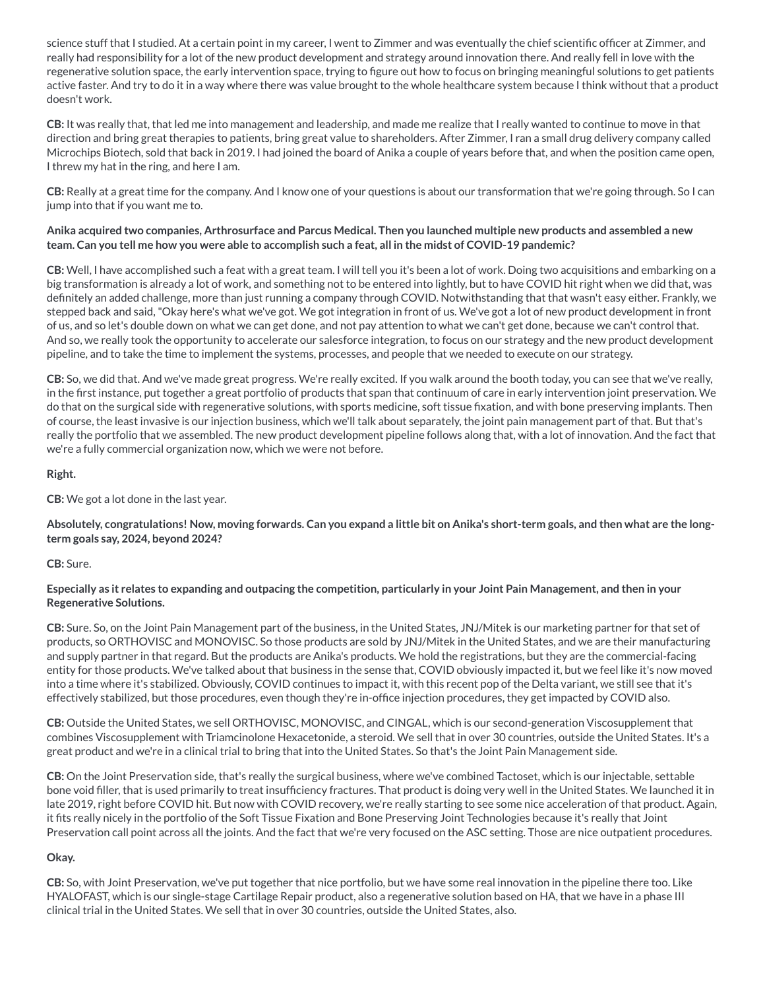science stuff that I studied. At a certain point in my career, I went to Zimmer and was eventually the chief scientific officer at Zimmer, and really had responsibility for a lot of the new product development and strategy around innovation there. And really fell in love with the regenerative solution space, the early intervention space, trying to figure out how to focus on bringing meaningful solutions to get patients active faster. And try to do it in a way where there was value brought to the whole healthcare system because I think without that a product doesn't work.

**CB:** It was really that, that led me into management and leadership, and made me realize that I really wanted to continue to move in that direction and bring great therapies to patients, bring great value to shareholders. After Zimmer, I ran a small drug delivery company called Microchips Biotech, sold that back in 2019. I had joined the board of Anika a couple of years before that, and when the position came open, I threw my hat in the ring, and here I am.

**CB:** Really at a great time for the company. And I know one of your questions is about our transformation that we're going through. So I can jump into that if you want me to.

#### Anika acquired two companies, Arthrosurface and Parcus Medical. Then you launched multiple new products and assembled a new team. Can you tell me how you were able to accomplish such a feat, all in the midst of COVID-19 pandemic?

**CB:** Well, I have accomplished such a feat with a great team. I will tell you it's been a lot of work. Doing two acquisitions and embarking on a big transformation is already a lot of work, and something not to be entered into lightly, but to have COVID hit right when we did that, was definitely an added challenge, more than just running a company through COVID. Notwithstanding that that wasn't easy either. Frankly, we stepped back and said,"Okay here's what we've got. We got integration in front of us. We've got a lot of new product development in front of us, and so let's double down on what we can get done, and not pay attention to what we can't get done, because we can't control that. And so, we really took the opportunity to accelerate our salesforce integration, to focus on our strategy and the new product development pipeline, and to take the time to implement the systems, processes, and people that we needed to execute on our strategy.

**CB:** So, we did that. And we've made great progress. We're really excited. If you walk around the booth today, you can see that we've really, in the first instance, put together a great portfolio of products that span that continuum of care in early intervention joint preservation. We do that on the surgical side with regenerative solutions, with sports medicine, soft tissue fixation, and with bone preserving implants. Then of course, the least invasive is our injection business, which we'll talk about separately, the joint pain management part of that. But that's really the portfolio that we assembled. The new product development pipeline follows along that, with a lot of innovation. And the fact that we're a fully commercial organization now, which we were not before.

#### **Right.**

#### **CB:** We got a lot done in the last year.

Absolutely, congratulations! Now, moving forwards. Can you expand a little bit on Anika's short-term goals, and then what are the long**term goals say, 2024, beyond 2024?**

#### **CB:** Sure.

#### Especially as it relates to expanding and outpacing the competition, particularly in your Joint Pain Management, and then in your **Regenerative Solutions.**

**CB:** Sure. So, on the Joint Pain Management part of the business, in the United States, JNJ/Mitek is our marketing partner for that set of products, so ORTHOVISC and MONOVISC. So those products are sold by JNJ/Mitek in the United States, and we are their manufacturing and supply partner in that regard. But the products are Anika's products. We hold the registrations, but they are the commercial-facing entity for those products. We've talked about that business in the sense that, COVID obviously impacted it, but we feel like it's now moved into a time where it's stabilized. Obviously, COVID continues to impact it, with this recent pop of the Delta variant, we still see that it's effectively stabilized, but those procedures, even though they're in-office injection procedures, they get impacted by COVID also.

**CB:** Outside the United States, we sell ORTHOVISC, MONOVISC, and CINGAL, which is our second-generation Viscosupplement that combines Viscosupplement with Triamcinolone Hexacetonide, a steroid. We sell that in over 30 countries, outside the United States. It's a great product and we're in a clinical trial to bring that into the United States. So that's the Joint Pain Management side.

**CB:** On the Joint Preservation side, that's really the surgical business, where we've combined Tactoset, which is our injectable, settable bone void filler, that is used primarily to treat insufficiency fractures. That product is doing very well in the United States. We launched it in late 2019, right before COVID hit. But now with COVID recovery, we're really starting to see some nice acceleration of that product. Again, it fits really nicely in the portfolio of the Soft Tissue Fixation and Bone Preserving Joint Technologies because it's really that Joint Preservation call point across all the joints. And the fact that we're very focused on the ASC setting. Those are nice outpatient procedures.

### **Okay.**

**CB:** So, with Joint Preservation, we've put together that nice portfolio, but we have some real innovation in the pipeline there too. Like HYALOFAST, which is our single-stage Cartilage Repair product, also a regenerative solution based on HA, that we have in a phase III clinical trial in the United States. We sell that in over 30 countries, outside the United States, also.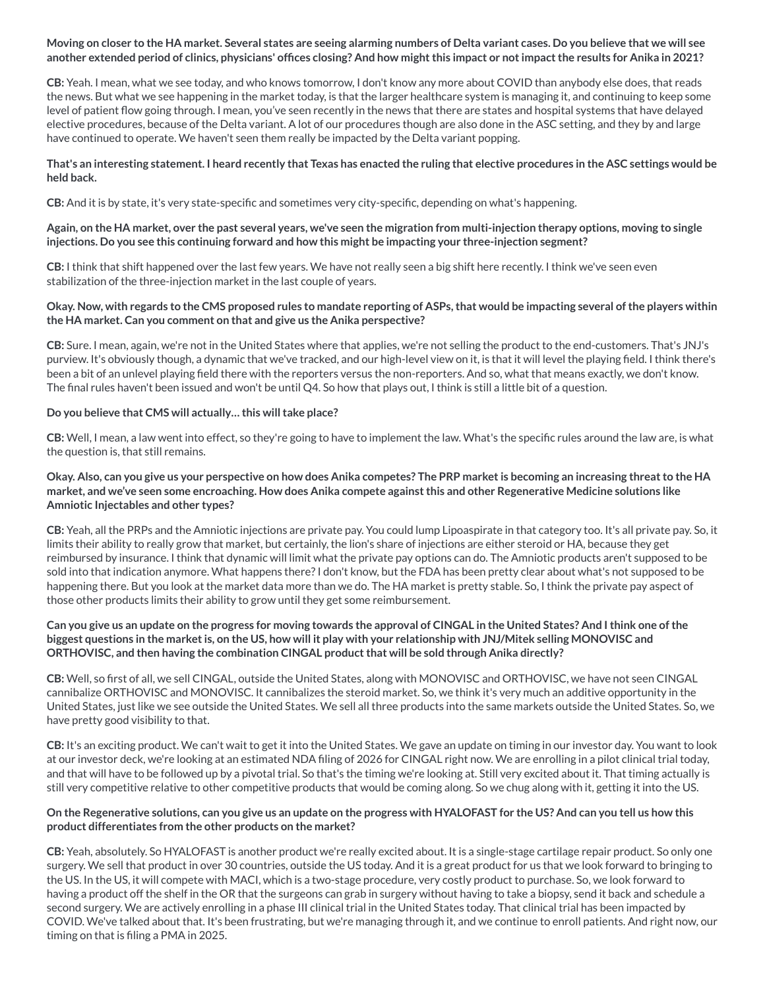#### Moving on closer to the HA market. Several states are seeing alarming numbers of Delta variant cases. Do you believe that we will see another extended period of clinics, physicians' offices closing? And how might this impact or not impact the results for Anika in 2021?

**CB:** Yeah. I mean, what we see today, and who knows tomorrow, I don't know any more about COVID than anybody else does, that reads the news. But what we see happening in the market today, is that the larger healthcare system is managing it, and continuing to keep some level of patient flow going through. I mean, you've seen recently in the news that there are states and hospital systems that have delayed elective procedures, because of the Delta variant. A lot of our procedures though are also done in the ASC setting, and they by and large have continued to operate. We haven't seen them really be impacted by the Delta variant popping.

#### That's an interesting statement. I heard recently that Texas has enacted the ruling that elective procedures in the ASC settings would be **held back.**

**CB:** And it is by state, it's very state-specific and sometimes very city-specific, depending on what's happening.

#### Again, on the HA market, over the past several years, we've seen the migration from multi-injection therapy options, moving to single **injections. Do you see this continuing forward and how this might be impacting your three-injection segment?**

**CB:** I think that shift happened over the last few years. We have not really seen a big shift here recently. I think we've seen even stabilization of the three-injection market in the last couple of years.

#### Okay. Now, with regards to the CMS proposed rules to mandate reporting of ASPs, that would be impacting several of the players within **the HA market. Can you comment on that and give us the Anika perspective?**

**CB:** Sure. I mean, again, we're not in the United States where that applies, we're not selling the product to the end-customers. That's JNJ's purview. It's obviously though, a dynamic that we've tracked, and our high-level view on it, is that it will level the playing field. I think there's been a bit of an unlevel playing field there with the reporters versus the non-reporters. And so, what that means exactly, we don't know. The final rules haven't been issued and won't be until Q4. So how that plays out, I think is still a little bit of a question.

#### **Do you believe that CMS will actually… this willtake place?**

**CB:** Well, I mean, a law went into effect, so they're going to have to implement the law. What's the specific rules around the law are, is what the question is, that still remains.

#### Okay. Also, can you give us your perspective on how does Anika competes? The PRP market is becoming an increasing threat to the HA market, and we've seen some encroaching. How does Anika compete against this and other Regenerative Medicine solutions like **Amniotic Injectables and other types?**

**CB:** Yeah, all the PRPs and the Amniotic injections are private pay. You could lump Lipoaspirate in that category too. It's all private pay. So, it limits their ability to really grow that market, but certainly, the lion's share of injections are either steroid or HA, because they get reimbursed by insurance. I think that dynamic will limit what the private pay options can do. The Amniotic products aren't supposed to be sold into that indication anymore. What happens there? I don't know, but the FDA has been pretty clear about what's not supposed to be happening there. But you look at the market data more than we do. The HA market is pretty stable. So, I think the private pay aspect of those other products limits their ability to grow until they get some reimbursement.

#### Can you give us an update on the progress for moving towards the approval of CINGAL in the United States? And I think one of the biggest questions in the market is, on the US, how will it play with your relationship with JNJ/Mitek selling MONOVISC and **ORTHOVISC, and then having the combination CINGAL productthat will be sold through Anika directly?**

**CB:** Well, so first of all, we sell CINGAL, outside the United States, along with MONOVISC and ORTHOVISC, we have not seen CINGAL cannibalize ORTHOVISC and MONOVISC. It cannibalizes the steroid market. So, we think it's very much an additive opportunity in the United States, just like we see outside the United States. We sell all three products into the same markets outside the United States. So, we have pretty good visibility to that.

**CB:** It's an exciting product. We can't wait to get it into the United States. We gave an update on timing in our investor day. You want to look at our investor deck, we're looking at an estimated NDA filing of 2026 for CINGAL right now. We are enrolling in a pilot clinical trial today, and that will have to be followed up by a pivotal trial. So that's the timing we're looking at. Still very excited about it. That timing actually is still very competitive relative to other competitive products that would be coming along. So we chug along with it, getting it into the US.

#### On the Regenerative solutions, can you give us an update on the progress with HYALOFAST for the US? And can you tell us how this **product differentiates from the other products on the market?**

**CB:** Yeah, absolutely. So HYALOFAST is another product we're really excited about. It is a single-stage cartilage repair product. So only one surgery. We sell that product in over 30 countries, outside the US today. And it is a great product for us that we look forward to bringing to the US. In the US, it will compete with MACI, which is a two-stage procedure, very costly product to purchase. So, we look forward to having a product off the shelf in the OR that the surgeons can grab in surgery without having to take a biopsy, send it back and schedule a second surgery. We are actively enrolling in a phase III clinical trial in the United States today. That clinical trial has been impacted by COVID. We've talked about that. It's been frustrating, but we're managing through it, and we continue to enroll patients. And right now, our timing on that is filing a PMA in 2025.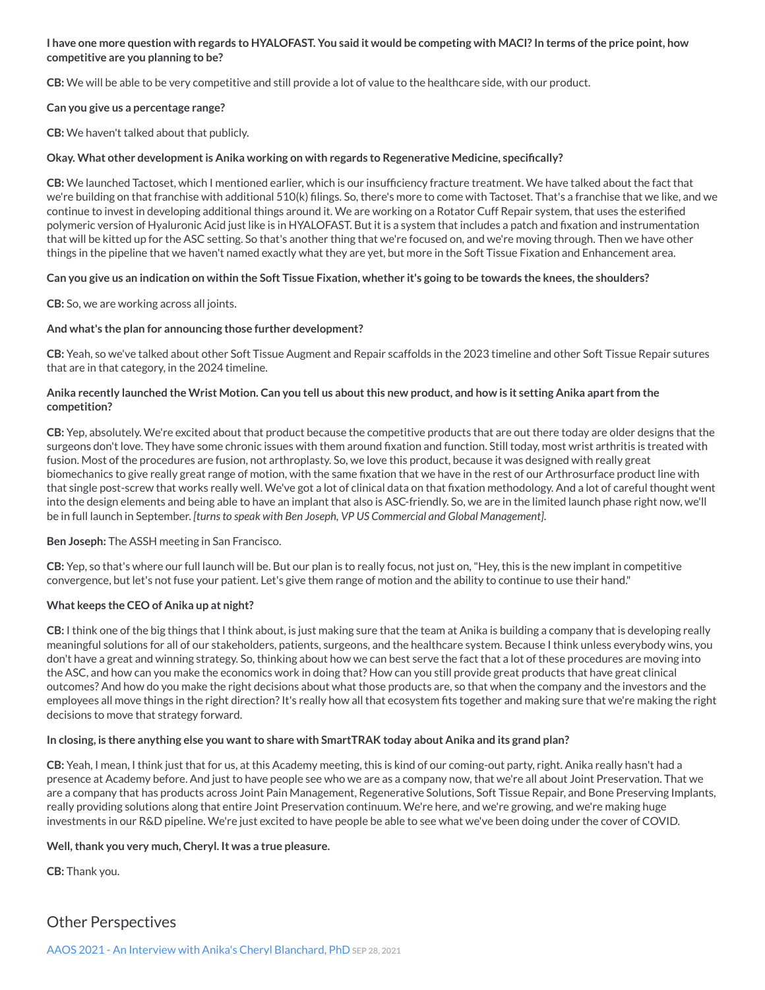#### I have one more question with regards to HYALOFAST. You said it would be competing with MACI? In terms of the price point, how **competitive are you planning to be?**

**CB:** We will be able to be very competitive and still provide a lot of value to the healthcare side, with our product.

#### **Can you give us a percentage range?**

**CB:** We haven't talked about that publicly.

#### **Okay. What other developmentis Anika working on with regards to Regenerative Medicine, specifically?**

**CB:** We launched Tactoset, which I mentioned earlier, which is our insufficiency fracture treatment. We have talked about the fact that we're building on that franchise with additional 510(k) filings. So, there's more to come with Tactoset. That's a franchise that we like, and we continue to invest in developing additional things around it. We are working on a Rotator Cuff Repair system, that uses the esterified polymeric version of Hyaluronic Acid just like is in HYALOFAST. But it is a system that includes a patch and fixation and instrumentation that will be kitted up for the ASC setting. So that's another thing that we're focused on, and we're moving through. Then we have other things in the pipeline that we haven't named exactly what they are yet, but more in the Soft Tissue Fixation and Enhancement area.

#### Can you give us an indication on within the Soft Tissue Fixation, whether it's going to be towards the knees, the shoulders?

**CB:** So, we are working across all joints.

#### **And what's the plan for announcing those further development?**

**CB:** Yeah, so we've talked about other Soft Tissue Augment and Repair scaffolds in the 2023 timeline and other Soft Tissue Repair sutures that are in that category, in the 2024 timeline.

#### Anika recently launched the Wrist Motion. Can you tell us about this new product, and how is it setting Anika apart from the **competition?**

**CB:** Yep, absolutely. We're excited about that product because the competitive products that are out there today are older designs that the surgeons don't love. They have some chronic issues with them around fixation and function. Still today, most wrist arthritis is treated with fusion. Most of the procedures are fusion, not arthroplasty. So, we love this product, because it was designed with really great biomechanics to give really great range of motion, with the same fixation that we have in the rest of our Arthrosurface product line with that single post-screw that works really well. We've got a lot of clinical data on that fixation methodology. And a lot of careful thought went into the design elements and being able to have an implant that also is ASC-friendly. So, we are in the limited launch phase right now, we'll be in full launch in September. *[turnsto speak with Ben Joseph, VP US Commercial and Global Management]*.

#### **Ben Joseph:** The ASSH meeting in San Francisco.

**CB:** Yep, so that's where our full launch will be. But our plan is to really focus, not just on,"Hey, this is the new implant in competitive convergence, but let's not fuse your patient. Let's give them range of motion and the ability to continue to use their hand."

#### **What keeps the CEO of Anika up at night?**

**CB:** I think one of the big things that I think about, is just making sure that the team at Anika is building a company that is developing really meaningful solutions for all of our stakeholders, patients, surgeons, and the healthcare system. Because I think unless everybody wins, you don't have a great and winning strategy. So, thinking about how we can best serve the fact that a lot of these procedures are moving into the ASC, and how can you make the economics work in doing that? How can you still provide great products that have great clinical outcomes? And how do you make the right decisions about what those products are, so that when the company and the investors and the employees all move things in the right direction?It's really how all that ecosystem fits together and making sure that we're making the right decisions to move that strategy forward.

#### In closing, is there anything else you want to share with SmartTRAK today about Anika and its grand plan?

**CB:** Yeah, I mean, I think just that for us, at this Academy meeting, this is kind of our coming-out party, right. Anika really hasn't had a presence at Academy before. And just to have people see who we are as a company now, that we're all about Joint Preservation. That we are a company that has products across Joint Pain Management, Regenerative Solutions, Soft Tissue Repair, and Bone Preserving Implants, really providing solutions along that entire Joint Preservation continuum. We're here, and we're growing, and we're making huge investments in our R&D pipeline. We're just excited to have people be able to see what we've been doing under the cover of COVID.

#### **Well,thank you very much, Cheryl. It was a true pleasure.**

**CB:** Thank you.

# Other Perspectives